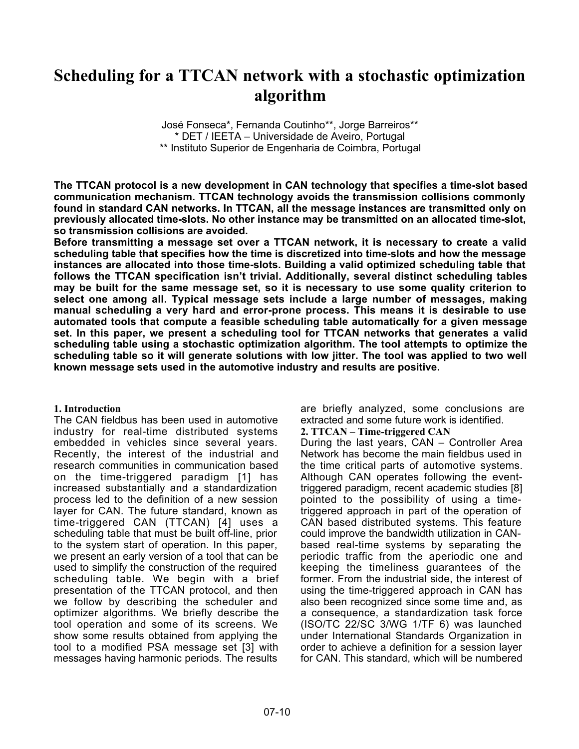# **Scheduling for a TTCAN network with a stochastic optimization algorithm**

José Fonseca\*, Fernanda Coutinho\*\*, Jorge Barreiros\*\* \* DET / IEETA – Universidade de Aveiro, Portugal \*\* Instituto Superior de Engenharia de Coimbra, Portugal

**The TTCAN protocol is a new development in CAN technology that specifies a time-slot based communication mechanism. TTCAN technology avoids the transmission collisions commonly found in standard CAN networks. In TTCAN, all the message instances are transmitted only on previously allocated time-slots. No other instance may be transmitted on an allocated time-slot, so transmission collisions are avoided.**

**Before transmitting a message set over a TTCAN network, it is necessary to create a valid scheduling table that specifies how the time is discretized into time-slots and how the message instances are allocated into those time-slots. Building a valid optimized scheduling table that follows the TTCAN specification isn't trivial. Additionally, several distinct scheduling tables may be built for the same message set, so it is necessary to use some quality criterion to select one among all. Typical message sets include a large number of messages, making manual scheduling a very hard and error-prone process. This means it is desirable to use automated tools that compute a feasible scheduling table automatically for a given message set. In this paper, we present a scheduling tool for TTCAN networks that generates a valid scheduling table using a stochastic optimization algorithm. The tool attempts to optimize the scheduling table so it will generate solutions with low jitter. The tool was applied to two well known message sets used in the automotive industry and results are positive.**

#### **1. Introduction**

The CAN fieldbus has been used in automotive industry for real-time distributed systems embedded in vehicles since several years. Recently, the interest of the industrial and research communities in communication based on the time-triggered paradigm [1] has increased substantially and a standardization process led to the definition of a new session layer for CAN. The future standard, known as time-triggered CAN (TTCAN) [4] uses a scheduling table that must be built off-line, prior to the system start of operation. In this paper, we present an early version of a tool that can be used to simplify the construction of the required scheduling table. We begin with a brief presentation of the TTCAN protocol, and then we follow by describing the scheduler and optimizer algorithms. We briefly describe the tool operation and some of its screens. We show some results obtained from applying the tool to a modified PSA message set [3] with messages having harmonic periods. The results

are briefly analyzed, some conclusions are extracted and some future work is identified.

#### **2. TTCAN – Time-triggered CAN**

During the last years, CAN – Controller Area Network has become the main fieldbus used in the time critical parts of automotive systems. Although CAN operates following the eventtriggered paradigm, recent academic studies [8] pointed to the possibility of using a timetriggered approach in part of the operation of CAN based distributed systems. This feature could improve the bandwidth utilization in CANbased real-time systems by separating the periodic traffic from the aperiodic one and keeping the timeliness guarantees of the former. From the industrial side, the interest of using the time-triggered approach in CAN has also been recognized since some time and, as a consequence, a standardization task force (ISO/TC 22/SC 3/WG 1/TF 6) was launched under International Standards Organization in order to achieve a definition for a session layer for CAN. This standard, which will be numbered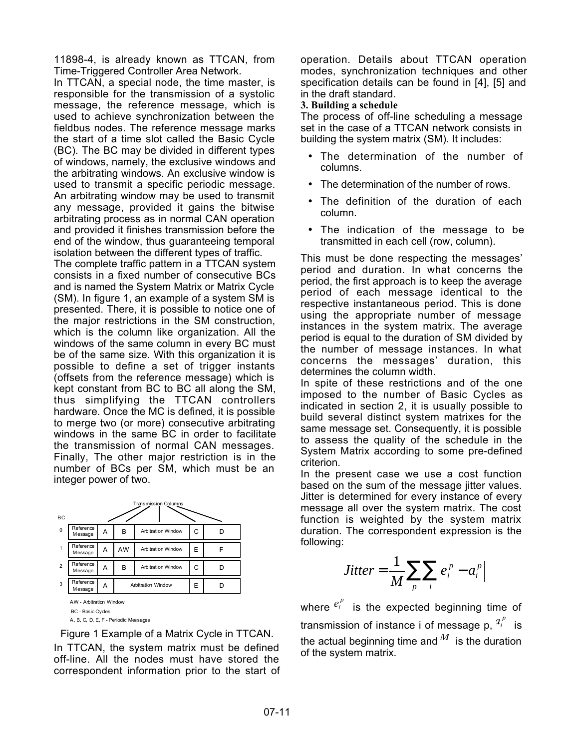11898-4, is already known as TTCAN, from Time-Triggered Controller Area Network.

In TTCAN, a special node, the time master, is responsible for the transmission of a systolic message, the reference message, which is used to achieve synchronization between the fieldbus nodes. The reference message marks the start of a time slot called the Basic Cycle (BC). The BC may be divided in different types of windows, namely, the exclusive windows and the arbitrating windows. An exclusive window is used to transmit a specific periodic message. An arbitrating window may be used to transmit any message, provided it gains the bitwise arbitrating process as in normal CAN operation and provided it finishes transmission before the end of the window, thus guaranteeing temporal isolation between the different types of traffic.

The complete traffic pattern in a TTCAN system consists in a fixed number of consecutive BCs and is named the System Matrix or Matrix Cycle (SM). In figure 1, an example of a system SM is presented. There, it is possible to notice one of the major restrictions in the SM construction, which is the column like organization. All the windows of the same column in every BC must be of the same size. With this organization it is possible to define a set of trigger instants (offsets from the reference message) which is kept constant from BC to BC all along the SM, thus simplifying the TTCAN controllers hardware. Once the MC is defined, it is possible to merge two (or more) consecutive arbitrating windows in the same BC in order to facilitate the transmission of normal CAN messages. Finally, The other major restriction is in the number of BCs per SM, which must be an integer power of two.



Figure 1 Example of a Matrix Cycle in TTCAN. In TTCAN, the system matrix must be defined off-line. All the nodes must have stored the correspondent information prior to the start of operation. Details about TTCAN operation modes, synchronization techniques and other specification details can be found in [4], [5] and in the draft standard.

**3. Building a schedule**

The process of off-line scheduling a message set in the case of a TTCAN network consists in building the system matrix (SM). It includes:

- The determination of the number of columns.
- The determination of the number of rows.
- The definition of the duration of each column.
- The indication of the message to be transmitted in each cell (row, column).

This must be done respecting the messages' period and duration. In what concerns the period, the first approach is to keep the average period of each message identical to the respective instantaneous period. This is done using the appropriate number of message instances in the system matrix. The average period is equal to the duration of SM divided by the number of message instances. In what concerns the messages' duration, this determines the column width.

In spite of these restrictions and of the one imposed to the number of Basic Cycles as indicated in section 2, it is usually possible to build several distinct system matrixes for the same message set. Consequently, it is possible to assess the quality of the schedule in the System Matrix according to some pre-defined criterion.

In the present case we use a cost function based on the sum of the message jitter values. Jitter is determined for every instance of every message all over the system matrix. The cost function is weighted by the system matrix duration. The correspondent expression is the following:

$$
Jitter = \frac{1}{M} \sum_{p} \sum_{i} \left| e_i^{p} - a_i^{p} \right|
$$

where  $e_i^p$  is the expected beginning time of transmission of instance i of message p,  $a_i^p$  is the actual beginning time and  $^M$  is the duration of the system matrix.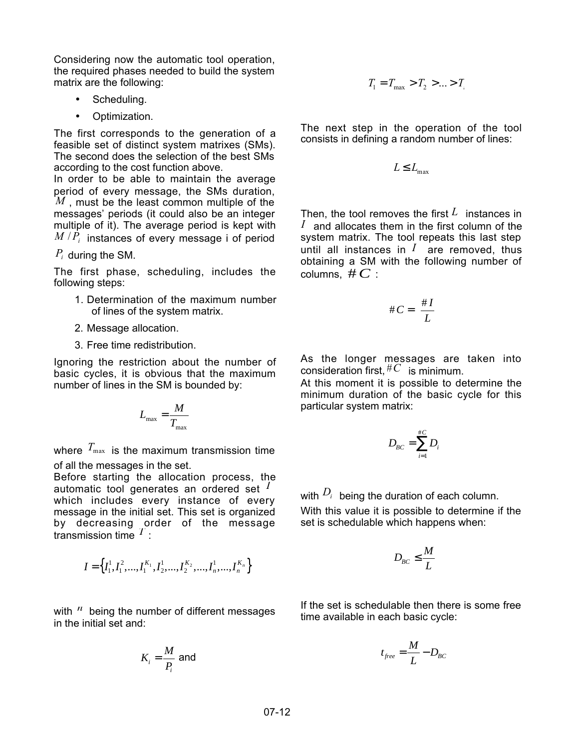Considering now the automatic tool operation, the required phases needed to build the system matrix are the following:

- Scheduling.
- Optimization.

The first corresponds to the generation of a feasible set of distinct system matrixes (SMs). The second does the selection of the best SMs according to the cost function above.

In order to be able to maintain the average period of every message, the SMs duration, *M* , must be the least common multiple of the messages' periods (it could also be an integer multiple of it). The average period is kept with  $M/P_i$  instances of every message i of period

# *Pi* during the SM.

The first phase, scheduling, includes the following steps:

- 1. Determination of the maximum number of lines of the system matrix.
- 2. Message allocation.
- 3. Free time redistribution.

Ignoring the restriction about the number of basic cycles, it is obvious that the maximum number of lines in the SM is bounded by:

$$
L_{\max} = \frac{M}{T_{\max}}
$$

where  $T_{\text{max}}$  is the maximum transmission time of all the messages in the set.

Before starting the allocation process, the automatic tool generates an ordered set *<sup>I</sup>* which includes every instance of every message in the initial set. This set is organized by decreasing order of the message transmission time *<sup>T</sup>* :

$$
I = \left\{I_1^1, I_1^2, \ldots, I_1^{K_1}, I_2^1, \ldots, I_2^{K_2}, \ldots, I_n^1, \ldots, I_n^{K_n}\right\}
$$

with <sup>*n*</sup> being the number of different messages in the initial set and:

$$
K_i = \frac{M}{P_i}
$$
 and

$$
T_1 = T_{\text{max}} > T_2 > ... > T_r
$$

The next step in the operation of the tool consists in defining a random number of lines:

$$
L \le L_{\max}
$$

Then, the tool removes the first *L* instances in  $I$  and allocates them in the first column of the system matrix. The tool repeats this last step until all instances in  $I$  are removed, thus obtaining a SM with the following number of columns,  $\#C$  :

$$
\#C = \left[\frac{\#I}{L}\right]
$$

As the longer messages are taken into consideration first, #*C* is minimum.

At this moment it is possible to determine the minimum duration of the basic cycle for this particular system matrix:

$$
D_{BC} = \sum_{i=1}^{\#C} D_i
$$

with  $D_i$  being the duration of each column.

With this value it is possible to determine if the set is schedulable which happens when:

$$
D_{BC} \leq \frac{M}{L}
$$

If the set is schedulable then there is some free time available in each basic cycle:

$$
t_{free} = \frac{M}{L} - D_{BC}
$$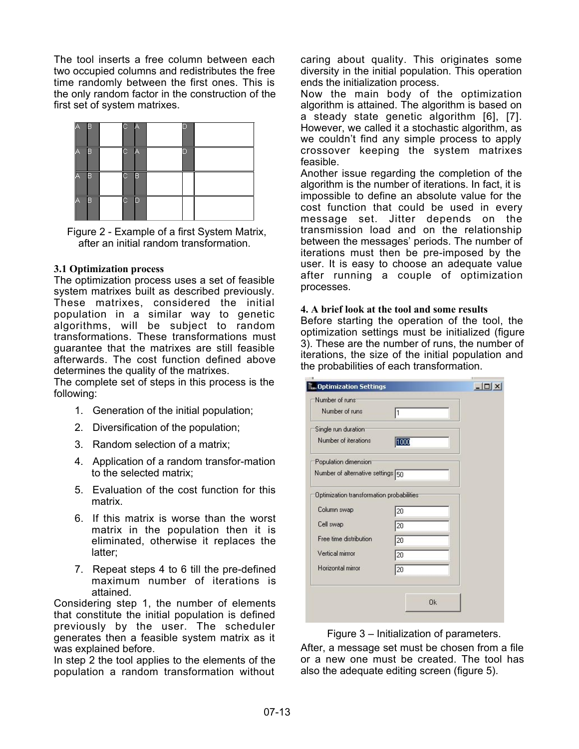The tool inserts a free column between each two occupied columns and redistributes the free time randomly between the first ones. This is the only random factor in the construction of the first set of system matrixes.



Figure 2 - Example of a first System Matrix, after an initial random transformation.

## **3.1 Optimization process**

The optimization process uses a set of feasible system matrixes built as described previously. These matrixes, considered the initial population in a similar way to genetic algorithms, will be subject to random transformations. These transformations must guarantee that the matrixes are still feasible afterwards. The cost function defined above determines the quality of the matrixes.

The complete set of steps in this process is the following:

- 1. Generation of the initial population;
- 2. Diversification of the population;
- 3. Random selection of a matrix;
- 4. Application of a random transfor-mation to the selected matrix;
- 5. Evaluation of the cost function for this matrix.
- 6. If this matrix is worse than the worst matrix in the population then it is eliminated, otherwise it replaces the latter;
- 7. Repeat steps 4 to 6 till the pre-defined maximum number of iterations is attained.

Considering step 1, the number of elements that constitute the initial population is defined previously by the user. The scheduler generates then a feasible system matrix as it was explained before.

In step 2 the tool applies to the elements of the population a random transformation without

caring about quality. This originates some diversity in the initial population. This operation ends the initialization process.

Now the main body of the optimization algorithm is attained. The algorithm is based on a steady state genetic algorithm [6], [7]. However, we called it a stochastic algorithm, as we couldn't find any simple process to apply crossover keeping the system matrixes feasible.

Another issue regarding the completion of the algorithm is the number of iterations. In fact, it is impossible to define an absolute value for the cost function that could be used in every message set. Jitter depends on the transmission load and on the relationship between the messages' periods. The number of iterations must then be pre-imposed by the user. It is easy to choose an adequate value after running a couple of optimization processes.

## **4. A brief look at the tool and some results**

Before starting the operation of the tool, the optimization settings must be initialized (figure 3). These are the number of runs, the number of iterations, the size of the initial population and the probabilities of each transformation.

| Number of runs <sup>-</sup>                |                 |  |
|--------------------------------------------|-----------------|--|
| Number of runs                             | l1              |  |
| Single run duration                        |                 |  |
| Number of iterations                       | 1000            |  |
| Population dimension <sup>®</sup>          |                 |  |
| Number of alternative settings 50          |                 |  |
| Optimization transformation probabilities: |                 |  |
| Column swap                                | 20              |  |
| Cell swap                                  | 20              |  |
| Free time distribution                     | 20              |  |
| Vertical mirrror                           | 20              |  |
| Horizontal mirror                          | $\overline{20}$ |  |
|                                            |                 |  |
|                                            | <b>Ok</b>       |  |

Figure 3 – Initialization of parameters.

After, a message set must be chosen from a file or a new one must be created. The tool has also the adequate editing screen (figure 5).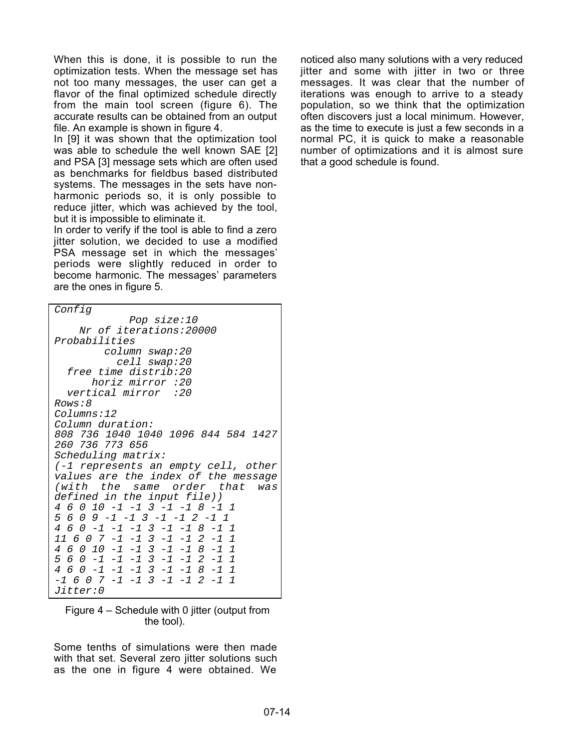When this is done, it is possible to run the optimization tests. When the message set has not too many messages, the user can get a flavor of the final optimized schedule directly from the main tool screen (figure 6). The accurate results can be obtained from an output file. An example is shown in figure 4.

In [9] it was shown that the optimization tool was able to schedule the well known SAE [2] and PSA [3] message sets which are often used as benchmarks for fieldbus based distributed systems. The messages in the sets have nonharmonic periods so, it is only possible to reduce jitter, which was achieved by the tool, but it is impossible to eliminate it.

In order to verify if the tool is able to find a zero jitter solution, we decided to use a modified PSA message set in which the messages' periods were slightly reduced in order to become harmonic. The messages' parameters are the ones in figure 5.

| Config                                     |
|--------------------------------------------|
| Pop size:10                                |
| Nr of iterations: 20000                    |
| Probabilities                              |
| column swap:20                             |
| cell swap:20                               |
| free time distrib:20                       |
| horiz mirror :20                           |
| vertical mirror :20                        |
| <i>Rows:8</i>                              |
| Columns:12                                 |
| Column duration:                           |
| 808 736 1040 1040 1096 844 584 1427        |
| 260 736 773 656                            |
| <i>Scheduling matrix:</i>                  |
| (-1 represents an empty cell, other        |
| values are the index of the message        |
| (with the same order that<br>was           |
| defined in the input file))                |
| 4 6 0 10 -1 -1 3 -1 -1 8 -1 1              |
| 5 6 0 9 -1 -1 3 -1 -1 2 -1 1               |
| 4 6 0 -1 -1 -1 3 -1 -1 8 -1 1              |
| 11 6 0 7 -1 -1 3 -1 -1 2 -1 1              |
| 4 6 0 10 -1 -1 3 -1 -1 8 -1 1              |
| $5\ 6\ 0\ -1\ -1\ -1\ 3\ -1\ -1\ 2\ -1\ 1$ |
| $4 6 0 -1 -1 -1 3 -1 -1 8 -1 1$            |
| $-1$ 6 0 7 $-1$ $-1$ 3 $-1$ $-1$ 2 $-1$ 1  |
| <i>Jitter:0</i>                            |

| Figure 4 – Schedule with 0 jitter (output from |            |  |  |
|------------------------------------------------|------------|--|--|
|                                                | the tool). |  |  |

Some tenths of simulations were then made with that set. Several zero jitter solutions such as the one in figure 4 were obtained. We

noticed also many solutions with a very reduced jitter and some with jitter in two or three messages. It was clear that the number of iterations was enough to arrive to a steady population, so we think that the optimization often discovers just a local minimum. However, as the time to execute is just a few seconds in a normal PC, it is quick to make a reasonable number of optimizations and it is almost sure that a good schedule is found.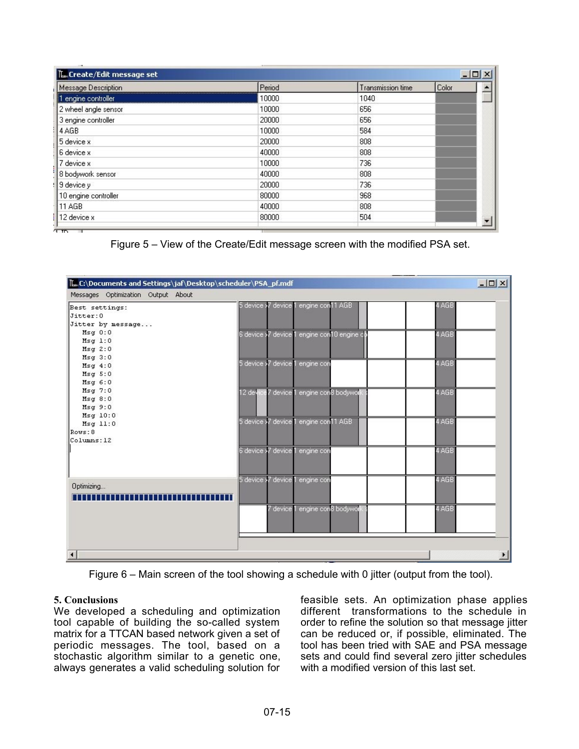| Message Description  | Period | Transmission time | Color |  |
|----------------------|--------|-------------------|-------|--|
| 1 engine controller  | 10000  | 1040              |       |  |
| 2 wheel angle sensor | 10000  | 656               |       |  |
| 3 engine controller  | 20000  | 656               |       |  |
| 4 AGB                | 10000  | 584               |       |  |
| 5 device x           | 20000  | 808               |       |  |
| 6 device x           | 40000  | 808               |       |  |
| 7 device x           | 10000  | 736               |       |  |
| 8 bodywork sensor    | 40000  | 808               |       |  |
| 9 device y           | 20000  | 736               |       |  |
| 10 engine controller | 80000  | 968               |       |  |
| <b>11 AGB</b>        | 40000  | 808               |       |  |
| 12 device x          | 80000  | 504               |       |  |

Figure 5 – View of the Create/Edit message screen with the modified PSA set.



Figure 6 – Main screen of the tool showing a schedule with 0 jitter (output from the tool).

#### **5. Conclusions**

We developed a scheduling and optimization tool capable of building the so-called system matrix for a TTCAN based network given a set of periodic messages. The tool, based on a stochastic algorithm similar to a genetic one, always generates a valid scheduling solution for

feasible sets. An optimization phase applies different transformations to the schedule in order to refine the solution so that message jitter can be reduced or, if possible, eliminated. The tool has been tried with SAE and PSA message sets and could find several zero jitter schedules with a modified version of this last set.